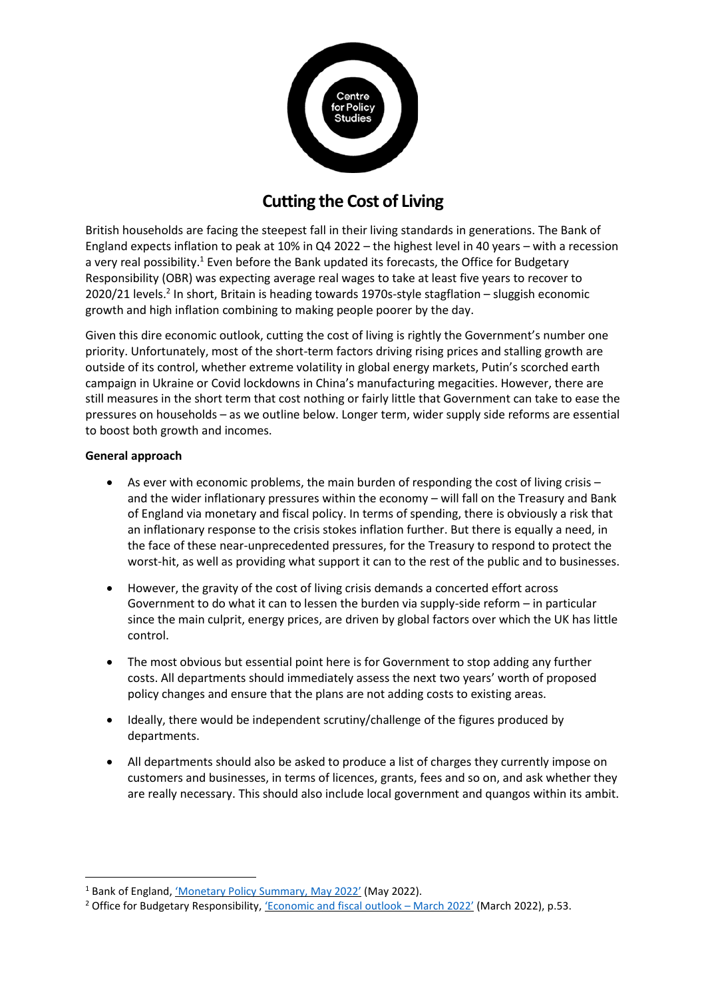

# **Cutting the Cost of Living**

British households are facing the steepest fall in their living standards in generations. The Bank of England expects inflation to peak at 10% in Q4 2022 – the highest level in 40 years – with a recession a very real possibility.<sup>1</sup> Even before the Bank updated its forecasts, the Office for Budgetary Responsibility (OBR) was expecting average real wages to take at least five years to recover to 2020/21 levels.<sup>2</sup> In short, Britain is heading towards 1970s-style stagflation - sluggish economic growth and high inflation combining to making people poorer by the day.

Given this dire economic outlook, cutting the cost of living is rightly the Government's number one priority. Unfortunately, most of the short-term factors driving rising prices and stalling growth are outside of its control, whether extreme volatility in global energy markets, Putin's scorched earth campaign in Ukraine or Covid lockdowns in China's manufacturing megacities. However, there are still measures in the short term that cost nothing or fairly little that Government can take to ease the pressures on households – as we outline below. Longer term, wider supply side reforms are essential to boost both growth and incomes.

### **General approach**

- As ever with economic problems, the main burden of responding the cost of living crisis and the wider inflationary pressures within the economy – will fall on the Treasury and Bank of England via monetary and fiscal policy. In terms of spending, there is obviously a risk that an inflationary response to the crisis stokes inflation further. But there is equally a need, in the face of these near-unprecedented pressures, for the Treasury to respond to protect the worst-hit, as well as providing what support it can to the rest of the public and to businesses.
- However, the gravity of the cost of living crisis demands a concerted effort across Government to do what it can to lessen the burden via supply-side reform – in particular since the main culprit, energy prices, are driven by global factors over which the UK has little control.
- The most obvious but essential point here is for Government to stop adding any further costs. All departments should immediately assess the next two years' worth of proposed policy changes and ensure that the plans are not adding costs to existing areas.
- Ideally, there would be independent scrutiny/challenge of the figures produced by departments.
- All departments should also be asked to produce a list of charges they currently impose on customers and businesses, in terms of licences, grants, fees and so on, and ask whether they are really necessary. This should also include local government and quangos within its ambit.

<sup>&</sup>lt;sup>1</sup> Bank of England, 'Monetary [Policy Summary, May](https://www.bankofengland.co.uk/monetary-policy-summary-and-minutes/2022/may-2022) 2022' (May 2022).

<sup>&</sup>lt;sup>2</sup> Office for Budgetary Responsibility, 'Economic [and fiscal outlook](https://obr.uk/efo/economic-and-fiscal-outlook-march-2022/) - March 2022' (March 2022), p.53.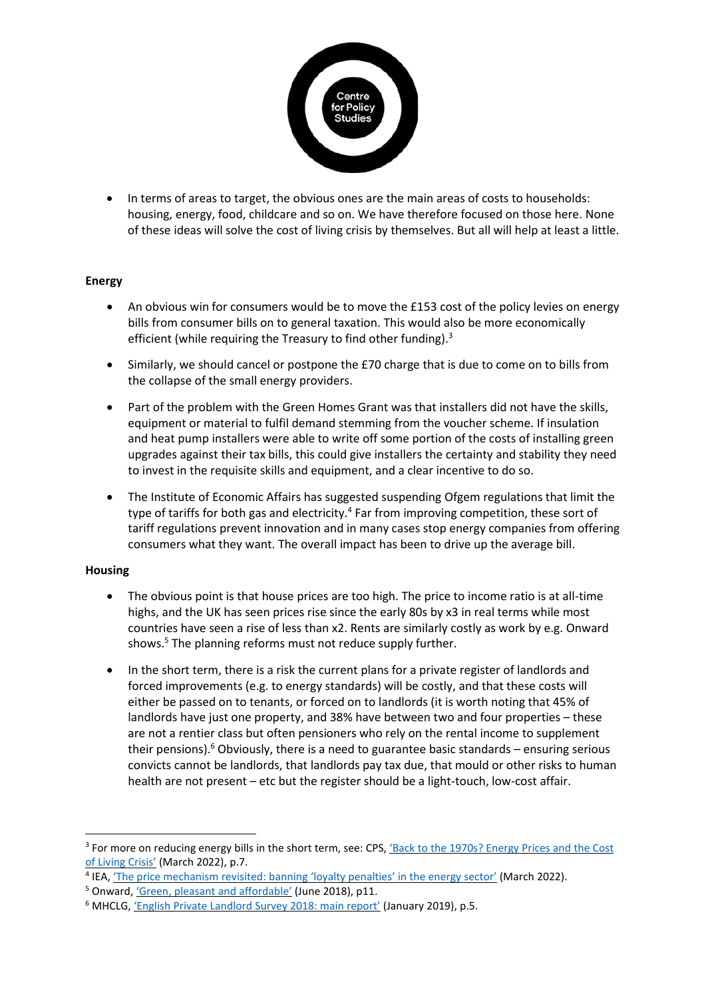

• In terms of areas to target, the obvious ones are the main areas of costs to households: housing, energy, food, childcare and so on. We have therefore focused on those here. None of these ideas will solve the cost of living crisis by themselves. But all will help at least a little.

## **Energy**

- An obvious win for consumers would be to move the £153 cost of the policy levies on energy bills from consumer bills on to general taxation. This would also be more economically efficient (while requiring the Treasury to find other funding).<sup>3</sup>
- Similarly, we should cancel or postpone the £70 charge that is due to come on to bills from the collapse of the small energy providers.
- Part of the problem with the Green Homes Grant was that installers did not have the skills, equipment or material to fulfil demand stemming from the voucher scheme. If insulation and heat pump installers were able to write off some portion of the costs of installing green upgrades against their tax bills, this could give installers the certainty and stability they need to invest in the requisite skills and equipment, and a clear incentive to do so.
- The Institute of Economic Affairs has suggested suspending Ofgem regulations that limit the type of tariffs for both gas and electricity.<sup>4</sup> Far from improving competition, these sort of tariff regulations prevent innovation and in many cases stop energy companies from offering consumers what they want. The overall impact has been to drive up the average bill.

## **Housing**

- The obvious point is that house prices are too high. The price to income ratio is at all-time highs, and the UK has seen prices rise since the early 80s by x3 in real terms while most countries have seen a rise of less than x2. Rents are similarly costly as work by e.g. Onward shows.<sup>5</sup> The planning reforms must not reduce supply further.
- In the short term, there is a risk the current plans for a private register of landlords and forced improvements (e.g. to energy standards) will be costly, and that these costs will either be passed on to tenants, or forced on to landlords (it is worth noting that 45% of landlords have just one property, and 38% have between two and four properties – these are not a rentier class but often pensioners who rely on the rental income to supplement their pensions).<sup>6</sup> Obviously, there is a need to guarantee basic standards - ensuring serious convicts cannot be landlords, that landlords pay tax due, that mould or other risks to human health are not present – etc but the register should be a light-touch, low-cost affair.

<sup>&</sup>lt;sup>3</sup> For more on reducing energy bills in the short term, see: CPS, 'Back to the 1970s? Energy Prices and the Cost [of Living](https://cps.org.uk/research/economic-bulletin-back-to-the-1970s-energy-prices-and-the-cost-of-living-crisis/) Crisis' (March 2022), p.7.

<sup>&</sup>lt;sup>4</sup> IEA, 'The [price mechanism revisited: banning](https://iea.org.uk/the-price-mechanism-revisited-banning-loyalty-penalties-in-the-energy-sector/) 'loyalty penalties' in the energy sector' (March 2022).

<sup>&</sup>lt;sup>5</sup> Onward, 'Green, [pleasant and](http://www.ukonward.com/wp-content/uploads/2018/06/220618-Green-Pleasant.-Affordable-Web-ready.pdf) affordable' (June 2018), p11.

<sup>&</sup>lt;sup>6</sup> MHCLG, 'English [Private Landlord Survey 2018: main](https://www.gov.uk/government/publications/english-private-landlord-survey-2018-main-report) report' (January 2019), p.5.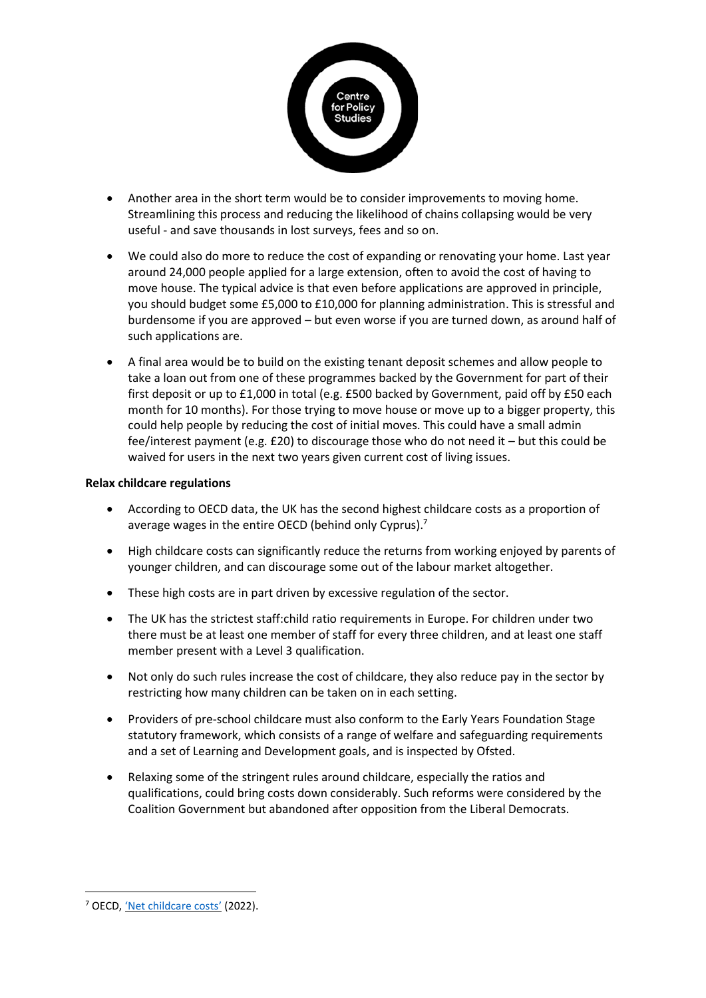

- Another area in the short term would be to consider improvements to moving home. Streamlining this process and reducing the likelihood of chains collapsing would be very useful - and save thousands in lost surveys, fees and so on.
- We could also do more to reduce the cost of expanding or renovating your home. Last year around 24,000 people applied for a large extension, often to avoid the cost of having to move house. The typical advice is that even before applications are approved in principle, you should budget some £5,000 to £10,000 for planning administration. This is stressful and burdensome if you are approved – but even worse if you are turned down, as around half of such applications are.
- A final area would be to build on the existing tenant deposit schemes and allow people to take a loan out from one of these programmes backed by the Government for part of their first deposit or up to £1,000 in total (e.g. £500 backed by Government, paid off by £50 each month for 10 months). For those trying to move house or move up to a bigger property, this could help people by reducing the cost of initial moves. This could have a small admin fee/interest payment (e.g. £20) to discourage those who do not need it – but this could be waived for users in the next two years given current cost of living issues.

#### **Relax childcare regulations**

- According to OECD data, the UK has the second highest childcare costs as a proportion of average wages in the entire OECD (behind only Cyprus). $<sup>7</sup>$ </sup>
- High childcare costs can significantly reduce the returns from working enjoyed by parents of younger children, and can discourage some out of the labour market altogether.
- These high costs are in part driven by excessive regulation of the sector.
- The UK has the strictest staff:child ratio requirements in Europe. For children under two there must be at least one member of staff for every three children, and at least one staff member present with a Level 3 qualification.
- Not only do such rules increase the cost of childcare, they also reduce pay in the sector by restricting how many children can be taken on in each setting.
- Providers of pre-school childcare must also conform to the Early Years Foundation Stage statutory framework, which consists of a range of welfare and safeguarding requirements and a set of Learning and Development goals, and is inspected by Ofsted.
- Relaxing some of the stringent rules around childcare, especially the ratios and qualifications, could bring costs down considerably. Such reforms were considered by the Coalition Government but abandoned after opposition from the Liberal Democrats.

<sup>&</sup>lt;sup>7</sup> OECD, 'Net [childcare](https://data.oecd.org/benwage/net-childcare-costs.htm) costs' (2022).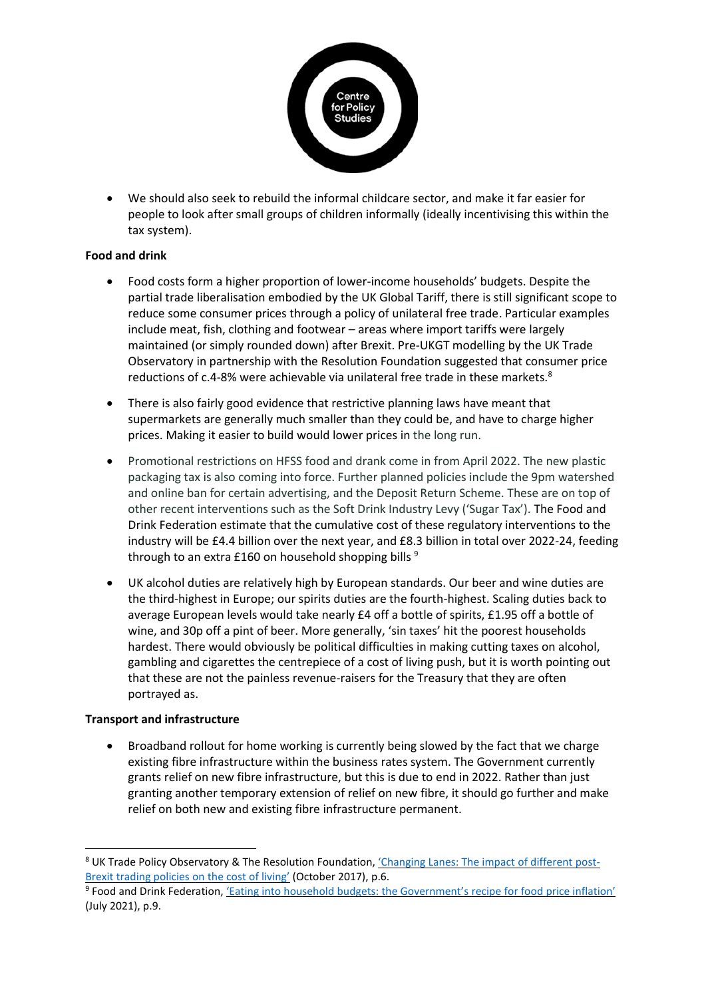

• We should also seek to rebuild the informal childcare sector, and make it far easier for people to look after small groups of children informally (ideally incentivising this within the tax system).

## **Food and drink**

- Food costs form a higher proportion of lower-income households' budgets. Despite the partial trade liberalisation embodied by the UK Global Tariff, there is still significant scope to reduce some consumer prices through a policy of unilateral free trade. Particular examples include meat, fish, clothing and footwear – areas where import tariffs were largely maintained (or simply rounded down) after Brexit. Pre-UKGT modelling by the UK Trade Observatory in partnership with the Resolution Foundation suggested that consumer price reductions of c.4-8% were achievable via unilateral free trade in these markets. $8$
- There is also fairly good evidence that restrictive planning laws have meant that supermarkets are generally much smaller than they could be, and have to charge higher prices. Making it easier to build would lower prices in the long run.
- Promotional restrictions on HFSS food and drank come in from April 2022. The new plastic packaging tax is also coming into force. Further planned policies include the 9pm watershed and online ban for certain advertising, and the Deposit Return Scheme. These are on top of other recent interventions such as the Soft Drink Industry Levy ('Sugar Tax'). The Food and Drink Federation estimate that the cumulative cost of these regulatory interventions to the industry will be £4.4 billion over the next year, and £8.3 billion in total over 2022-24, feeding through to an extra £160 on household shopping bills  $9$
- UK alcohol duties are relatively high by European standards. Our beer and wine duties are the third-highest in Europe; our spirits duties are the fourth-highest. Scaling duties back to average European levels would take nearly £4 off a bottle of spirits, £1.95 off a bottle of wine, and 30p off a pint of beer. More generally, 'sin taxes' hit the poorest households hardest. There would obviously be political difficulties in making cutting taxes on alcohol, gambling and cigarettes the centrepiece of a cost of living push, but it is worth pointing out that these are not the painless revenue-raisers for the Treasury that they are often portrayed as.

## **Transport and infrastructure**

• Broadband rollout for home working is currently being slowed by the fact that we charge existing fibre infrastructure within the business rates system. The Government currently grants relief on new fibre infrastructure, but this is due to end in 2022. Rather than just granting another temporary extension of relief on new fibre, it should go further and make relief on both new and existing fibre infrastructure permanent.

<sup>&</sup>lt;sup>8</sup> UK Trade Policy Observatory & The Resolution Foundation, 'Changing [Lanes: The impact of different post-](https://blogs.sussex.ac.uk/uktpo/files/2017/10/Changing-Lanes.pdf)[Brexit trading policies on the cost of](https://blogs.sussex.ac.uk/uktpo/files/2017/10/Changing-Lanes.pdf) living' (October 2017), p.6.

<sup>&</sup>lt;sup>9</sup> Food and Drink Federation, 'Eating [into household budgets: the](https://www.fdf.org.uk/globalassets/resources/publications/reports/eating-into-household-budgets-report.pdf) Government's recipe for food price inflation' (July 2021), p.9.